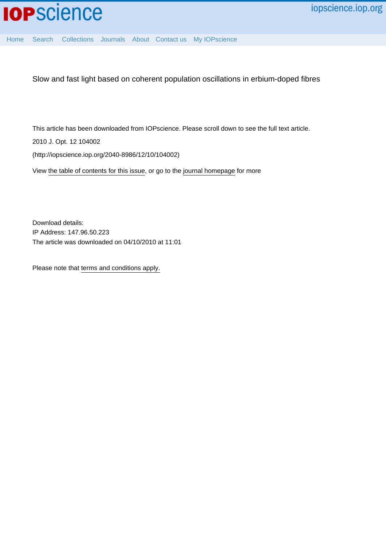

[Home](http://iopscience.iop.org/) [Search](http://iopscience.iop.org/search) [Collections](http://iopscience.iop.org/collections) [Journals](http://iopscience.iop.org/journals) [About](http://iopscience.iop.org/page/aboutioppublishing) [Contact us](http://iopscience.iop.org/contact) [My IOPscience](http://iopscience.iop.org/myiopscience)

Slow and fast light based on coherent population oscillations in erbium-doped fibres

This article has been downloaded from IOPscience. Please scroll down to see the full text article.

2010 J. Opt. 12 104002

(http://iopscience.iop.org/2040-8986/12/10/104002)

View [the table of contents for this issue](http://iopscience.iop.org/2040-8986/12/10), or go to the [journal homepage](http://iopscience.iop.org/2040-8986) for more

Download details: IP Address: 147.96.50.223 The article was downloaded on 04/10/2010 at 11:01

Please note that [terms and conditions apply.](http://iopscience.iop.org/page/terms)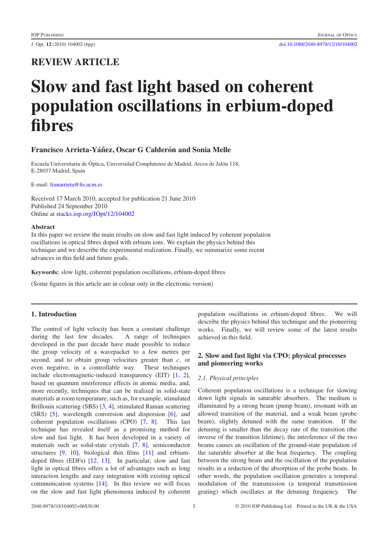# **REVIEW ARTICLE**

# **Slow and fast light based on coherent population oscillations in erbium-doped fibres**

# **Francisco Arrieta-Yáñez, Oscar G Calderón and Sonia Melle**

Escuela Universitaria de Óptica, Universidad Complutense de Madrid, Arcos de Jalón 118, E-28037 Madrid, Spain

E-mail: [franarrieta@fis.ucm.es](mailto:franarrieta@fis.ucm.es)

Received 17 March 2010, accepted for publication 21 June 2010 Published 24 September 2010 Online at [stacks.iop.org/JOpt/12/104002](http://stacks.iop.org/JOpt/12/104002)

#### **Abstract**

In this paper we review the main results on slow and fast light induced by coherent population oscillations in optical fibres doped with erbium ions. We explain the physics behind this technique and we describe the experimental realization. Finally, we summarize some recent advances in this field and future goals.

**Keywords:** slow light, coherent population oscillations, erbium-doped fibres

(Some figures in this article are in colour only in the electronic version)

# **1. Introduction**

The control of light velocity has been a constant challenge during the last few decades. A range of techniques developed in the past decade have made possible to reduce the group velocity of a wavepacket to a few metres per second, and to obtain group velocities greater than *c*, or even negative, in a controllable way. These techniques include electromagnetic-induced transparency (EIT) [\[1,](#page-6-0) [2\]](#page-6-1), based on quantum interference effects in atomic media, and, more recently, techniques that can be realized in solid-state materials at room temperature, such as, for example, stimulated Brillouin scattering (SBS) [\[3,](#page-6-2) [4\]](#page-6-3), stimulated Raman scattering (SRS) [\[5\]](#page-6-4), wavelength conversion and dispersion [\[6\]](#page-6-5), and coherent population oscillations (CPO) [\[7,](#page-6-6) [8\]](#page-6-7). This last technique has revealed itself as a promising method for slow and fast light. It has been developed in a variety of materials such as solid-state crystals [\[7,](#page-6-6) [8\]](#page-6-7), semiconductor structures [\[9,](#page-6-8) [10\]](#page-6-9), biological thin films [\[11\]](#page-6-10) and erbiumdoped fibres (EDFs) [\[12,](#page-6-11) [13\]](#page-6-12). In particular, slow and fast light in optical fibres offers a lot of advantages such as long interaction lengths and easy integration with existing optical communication systems [\[14\]](#page-6-13). In this review we will focus on the slow and fast light phenomena induced by coherent population oscillations in erbium-doped fibres. We will describe the physics behind this technique and the pioneering works. Finally, we will review some of the latest results achieved in this field.

# **2. Slow and fast light via CPO: physical processes and pioneering works**

#### *2.1. Physical principles*

Coherent population oscillations is a technique for slowing down light signals in saturable absorbers. The medium is illuminated by a strong beam (pump beam), resonant with an allowed transition of the material, and a weak beam (probe beam), slightly detuned with the same transition. If the detuning is smaller than the decay rate of the transition (the inverse of the transition lifetime), the interference of the two beams causes an oscillation of the ground-state population of the saturable absorber at the beat frequency. The coupling between the strong beam and the oscillation of the population results in a reduction of the absorption of the probe beam. In other words, the population oscillation generates a temporal modulation of the transmission (a temporal transmission grating) which oscillates at the detuning frequency. The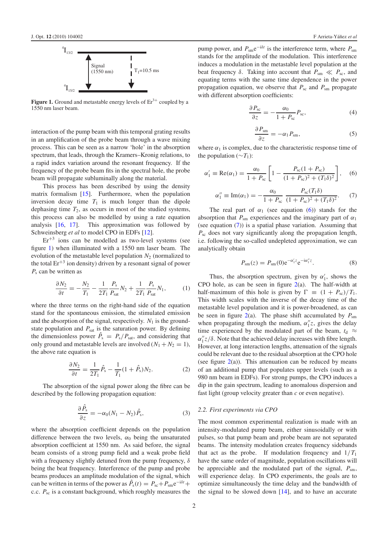<span id="page-2-0"></span>

**Figure 1.** Ground and metastable energy levels of  $Er<sup>3+</sup>$  coupled by a 1550 nm laser beam.

interaction of the pump beam with this temporal grating results in an amplification of the probe beam through a wave mixing process. This can be seen as a narrow 'hole' in the absorption spectrum, that leads, through the Kramers–Kronig relations, to a rapid index variation around the resonant frequency. If the frequency of the probe beam fits in the spectral hole, the probe beam will propagate subluminally along the material.

This process has been described by using the density matrix formalism [\[15\]](#page-6-14). Furthermore, when the population inversion decay time  $T_1$  is much longer than the dipole dephasing time  $T_2$ , as occurs in most of the studied systems, this process can also be modelled by using a rate equation analysis [\[16,](#page-6-15) [17\]](#page-6-16). This approximation was followed by Schweinsberg *et al* to model CPO in EDFs [\[12\]](#page-6-11).

 $Er^{+3}$  ions can be modelled as two-level systems (see figure [1\)](#page-2-0) when illuminated with a 1550 nm laser beam. The evolution of the metastable level population  $N_2$  (normalized to the total  $Er^{+3}$  ion density) driven by a resonant signal of power *P*<sup>s</sup> can be written as

$$
\frac{\partial N_2}{\partial t} = -\frac{N_2}{T_1} - \frac{1}{2T_1} \frac{P_s}{P_{sat}} N_2 + \frac{1}{2T_1} \frac{P_s}{P_{sat}} N_1,\tag{1}
$$

where the three terms on the right-hand side of the equation stand for the spontaneous emission, the stimulated emission and the absorption of the signal, respectively.  $N_1$  is the groundstate population and  $P_{\text{sat}}$  is the saturation power. By defining the dimensionless power  $\ddot{P}_s = P_s/P_{\text{sat}}$ , and considering that only ground and metastable levels are involved  $(N_1 + N_2 = 1)$ , the above rate equation is

$$
\frac{\partial N_2}{\partial t} = \frac{1}{2T_1} \hat{P}_s - \frac{1}{T_1} (1 + \hat{P}_s) N_2.
$$
 (2)

The absorption of the signal power along the fibre can be described by the following propagation equation:

$$
\frac{\partial \hat{P}_s}{\partial z} = -\alpha_0 (N_1 - N_2) \hat{P}_s, \tag{3}
$$

where the absorption coefficient depends on the population difference between the two levels,  $\alpha_0$  being the unsaturated absorption coefficient at 1550 nm. As said before, the signal beam consists of a strong pump field and a weak probe field with a frequency slightly detuned from the pump frequency,  $\delta$ being the beat frequency. Interference of the pump and probe beams produces an amplitude modulation of the signal, which can be written in terms of the power as  $\hat{P}_s(t) = P_{sc} + P_{sm}e^{-i\delta t} +$ c.c.  $P_{\text{sc}}$  is a constant background, which roughly measures the pump power, and  $P_{\text{sm}}e^{-i\delta t}$  is the interference term, where  $P_{\text{sm}}$ stands for the amplitude of the modulation. This interference induces a modulation in the metastable level population at the beat frequency  $\delta$ . Taking into account that  $P_{\rm sm} \ll P_{\rm sc}$ , and equating terms with the same time dependence in the power propagation equation, we observe that  $P_{\rm sc}$  and  $P_{\rm sm}$  propagate

$$
\frac{\partial P_{\rm sc}}{\partial z} = -\frac{\alpha_0}{1 + P_{\rm sc}} P_{\rm sc}, \tag{4}
$$

<span id="page-2-2"></span><span id="page-2-1"></span>
$$
\frac{\partial P_{\rm sm}}{\partial z} = -\alpha_1 P_{\rm sm},\tag{5}
$$

where  $\alpha_1$  is complex, due to the characteristic response time of the population ( $\sim T_1$ ):

with different absorption coefficients:

$$
\alpha_1' \equiv \text{Re}(\alpha_1) = \frac{\alpha_0}{1 + P_{\text{sc}}} \left[ 1 - \frac{P_{\text{sc}}(1 + P_{\text{sc}})}{(1 + P_{\text{sc}})^2 + (T_1 \delta)^2} \right], \quad (6)
$$

$$
\alpha_1'' \equiv \text{Im}(\alpha_1) = -\frac{\alpha_0}{1 + P_{\rm sc}} \frac{P_{\rm sc}(T_1 \delta)}{(1 + P_{\rm sc})^2 + (T_1 \delta)^2}.
$$
 (7)

The real part of  $\alpha_1$  (see equation [\(6\)](#page-2-1)) stands for the absorption that  $P_{\rm sm}$  experiences and the imaginary part of  $\alpha_1$ (see equation [\(7\)](#page-2-2)) is a spatial phase variation. Assuming that *P*sc does not vary significantly along the propagation length, i.e. following the so-called undepleted approximation, we can analytically obtain

$$
P_{\rm sm}(z) = P_{\rm sm}(0) e^{-\alpha'_1 z} e^{-i\alpha''_1 z}.
$$
 (8)

Thus, the absorption spectrum, given by  $\alpha'_1$ , shows the CPO hole, as can be seen in figure [2\(](#page-3-0)a). The half-width at half-maximum of this hole is given by  $\Gamma \equiv (1 + P_{\rm sc})/T_1$ . This width scales with the inverse of the decay time of the metastable level population and it is power-broadened, as can be seen in figure  $2(a)$  $2(a)$ . The phase shift accumulated by  $P_{\text{sm}}$ when propagating through the medium,  $\alpha''_1 z$ , gives the delay time experienced by the modulated part of the beam,  $t_d \approx$  $\alpha''_1 z/\delta$ . Note that the achieved delay increases with fibre length. However, at long interaction lengths, attenuation of the signals could be relevant due to the residual absorption at the CPO hole (see figure  $2(a)$  $2(a)$ ). This attenuation can be reduced by means of an additional pump that populates upper levels (such as a 980 nm beam in EDFs). For strong pumps, the CPO induces a dip in the gain spectrum, leading to anomalous dispersion and fast light (group velocity greater than *c* or even negative).

#### *2.2. First experiments via CPO*

The most common experimental realization is made with an intensity-modulated pump beam, either sinusoidally or with pulses, so that pump beam and probe beam are not separated beams. The intensity modulation creates frequency sidebands that act as the probe. If modulation frequency and  $1/T_1$ have the same order of magnitude, population oscillations will be appreciable and the modulated part of the signal,  $P_{\rm sm}$ , will experience delay. In CPO experiments, the goals are to optimize simultaneously the time delay and the bandwidth of the signal to be slowed down  $[14]$ , and to have an accurate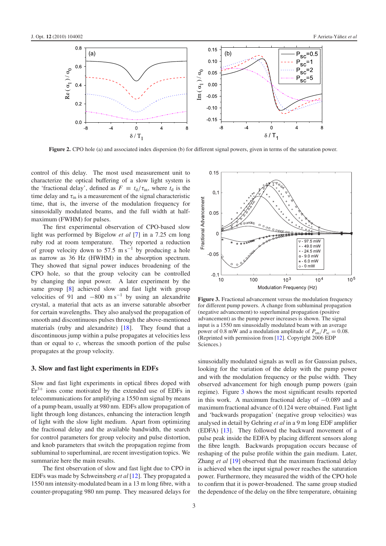<span id="page-3-0"></span>

**Figure 2.** CPO hole (a) and associated index dispersion (b) for different signal powers, given in terms of the saturation power.

control of this delay. The most used measurement unit to characterize the optical buffering of a slow light system is the 'fractional delay', defined as  $F \equiv t_d/\tau_{in}$ , where  $t_d$  is the time delay and  $\tau_{\text{in}}$  is a measurement of the signal characteristic time, that is, the inverse of the modulation frequency for sinusoidally modulated beams, and the full width at halfmaximum (FWHM) for pulses.

The first experimental observation of CPO-based slow light was performed by Bigelow *et al* [\[7\]](#page-6-6) in a 7.25 cm long ruby rod at room temperature. They reported a reduction of group velocity down to 57.5 m s<sup> $-1$ </sup> by producing a hole as narrow as 36 Hz (HWHM) in the absorption spectrum. They showed that signal power induces broadening of the CPO hole, so that the group velocity can be controlled by changing the input power. A later experiment by the same group [\[8\]](#page-6-7) achieved slow and fast light with group velocities of 91 and  $-800$  m s<sup>-1</sup> by using an alexandrite crystal, a material that acts as an inverse saturable absorber for certain wavelengths. They also analysed the propagation of smooth and discontinuous pulses through the above-mentioned materials (ruby and alexandrite) [\[18\]](#page-6-17). They found that a discontinuous jump within a pulse propagates at velocities less than or equal to  $c$ , whereas the smooth portion of the pulse propagates at the group velocity.

### **3. Slow and fast light experiments in EDFs**

Slow and fast light experiments in optical fibres doped with  $Er<sup>3+</sup>$  ions come motivated by the extended use of EDFs in telecommunications for amplifying a 1550 nm signal by means of a pump beam, usually at 980 nm. EDFs allow propagation of light through long distances, enhancing the interaction length of light with the slow light medium. Apart from optimizing the fractional delay and the available bandwidth, the search for control parameters for group velocity and pulse distortion, and knob parameters that switch the propagation regime from subluminal to superluminal, are recent investigation topics. We summarize here the main results.

The first observation of slow and fast light due to CPO in EDFs was made by Schweinsberg *et al* [\[12\]](#page-6-11). They propagated a 1550 nm intensity-modulated beam in a 13 m long fibre, with a counter-propagating 980 nm pump. They measured delays for

<span id="page-3-1"></span>

**Figure 3.** Fractional advancement versus the modulation frequency for different pump powers. A change from subluminal propagation (negative advancement) to superluminal propagation (positive advancement) as the pump power increases is shown. The signal input is a 1550 nm sinusoidally modulated beam with an average power of 0.8 mW and a modulation amplitude of  $P_{\rm sm}/P_{\rm sc} = 0.08$ . (Reprinted with permission from [\[12\]](#page-6-11). Copyright 2006 EDP Sciences.)

sinusoidally modulated signals as well as for Gaussian pulses, looking for the variation of the delay with the pump power and with the modulation frequency or the pulse width. They observed advancement for high enough pump powers (gain regime). Figure [3](#page-3-1) shows the most significant results reported in this work. A maximum fractional delay of −0.089 and a maximum fractional advance of 0.124 were obtained. Fast light and 'backwards propagation' (negative group velocities) was analysed in detail by Gehring *et al* in a 9 m long EDF amplifier (EDFA) [\[13\]](#page-6-12). They followed the backward movement of a pulse peak inside the EDFA by placing different sensors along the fibre length. Backwards propagation occurs because of reshaping of the pulse profile within the gain medium. Later, Zhang *et al* [\[19\]](#page-6-18) observed that the maximum fractional delay is achieved when the input signal power reaches the saturation power. Furthermore, they measured the width of the CPO hole to confirm that it is power-broadened. The same group studied the dependence of the delay on the fibre temperature, obtaining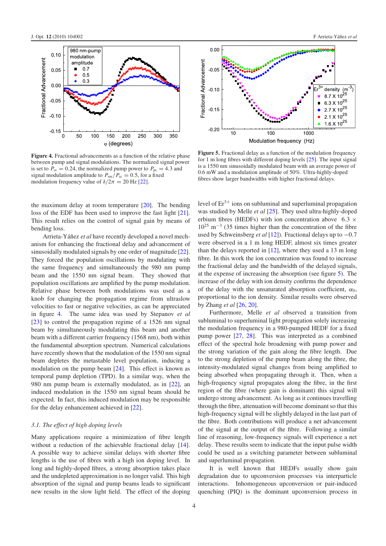<span id="page-4-0"></span>

**Figure 4.** Fractional advancements as a function of the relative phase between pump and signal modulations. The normalized signal power is set to  $P_{\text{sc}} = 0.24$ , the normalized pump power to  $P_{\text{pc}} = 4.3$  and signal modulation amplitude to  $P_{\rm sm}/P_{\rm sc} = 0.5$ , for a fixed modulation frequency value of  $\delta/2\pi = 20$  Hz [\[22\]](#page-6-19).

the maximum delay at room temperature [\[20\]](#page-6-20). The bending loss of the EDF has been used to improve the fast light [\[21\]](#page-6-21). This result relies on the control of signal gain by means of bending loss.

Arrieta-Yáñez *et al* have recently developed a novel mechanism for enhancing the fractional delay and advancement of sinusoidally modulated signals by one order of magnitude [\[22\]](#page-6-19). They forced the population oscillations by modulating with the same frequency and simultaneously the 980 nm pump beam and the 1550 nm signal beam. They showed that population oscillations are amplified by the pump modulation. Relative phase between both modulations was used as a knob for changing the propagation regime from ultraslow velocities to fast or negative velocities, as can be appreciated in figure [4.](#page-4-0) The same idea was used by Stepanov *et al* [\[23\]](#page-6-22) to control the propagation regime of a 1526 nm signal beam by simultaneously modulating this beam and another beam with a different carrier frequency (1568 nm), both within the fundamental absorption spectrum. Numerical calculations have recently shown that the modulation of the 1550 nm signal beam depletes the metastable level population, inducing a modulation on the pump beam [\[24\]](#page-6-23). This effect is known as temporal pump depletion (TPD). In a similar way, when the 980 nm pump beam is externally modulated, as in [\[22\]](#page-6-19), an induced modulation in the 1550 nm signal beam should be expected. In fact, this induced modulation may be responsible for the delay enhancement achieved in [\[22\]](#page-6-19).

#### *3.1. The effect of high doping levels*

Many applications require a minimization of fibre length without a reduction of the achievable fractional delay [\[14\]](#page-6-13). A possible way to achieve similar delays with shorter fibre lengths is the use of fibres with a high ion doping level. In long and highly-doped fibres, a strong absorption takes place and the undepleted approximation is no longer valid. This high absorption of the signal and pump beams leads to significant new results in the slow light field. The effect of the doping

<span id="page-4-1"></span>

**Figure 5.** Fractional delay as a function of the modulation frequency for 1 m long fibres with different doping levels [\[25\]](#page-6-24). The input signal is a 1550 nm sinusoidally modulated beam with an average power of 0.6 mW and a modulation amplitude of 50%. Ultra-highly-doped fibres show larger bandwidths with higher fractional delays.

level of  $Er^{3+}$  ions on subluminal and superluminal propagation was studied by Melle *et al* [\[25\]](#page-6-24). They used ultra-highly-doped erbium fibres (HEDFs) with ion concentration above 6.3  $\times$  $10^{25}$  m<sup>-3</sup> (35 times higher than the concentration of the fibre used by Schweinsberg *et al* [\[12\]](#page-6-11)). Fractional delays up to −0.7 were observed in a 1 m long HEDF, almost six times greater than the delays reported in  $[12]$ , where they used a 13 m long fibre. In this work the ion concentration was found to increase the fractional delay and the bandwidth of the delayed signals, at the expense of increasing the absorption (see figure [5\)](#page-4-1). The increase of the delay with ion density confirms the dependence of the delay with the unsaturated absorption coefficient,  $\alpha_0$ , proportional to the ion density. Similar results were observed by Zhang *et al* [\[26,](#page-6-25) [20\]](#page-6-20).

Furthermore, Melle *et al* observed a transition from subluminal to superluminal light propagation solely increasing the modulation frequency in a 980-pumped HEDF for a fixed pump power [\[27,](#page-6-26) [28\]](#page-6-27). This was interpreted as a combined effect of the spectral hole broadening with pump power and the strong variation of the gain along the fibre length. Due to the strong depletion of the pump beam along the fibre, the intensity-modulated signal changes from being amplified to being absorbed when propagating through it. Then, when a high-frequency signal propagates along the fibre, in the first region of the fibre (where gain is dominant) this signal will undergo strong advancement. As long as it continues travelling through the fibre, attenuation will become dominant so that this high-frequency signal will be slightly delayed in the last part of the fibre. Both contributions will produce a net advancement of the signal at the output of the fibre. Following a similar line of reasoning, low-frequency signals will experience a net delay. These results seem to indicate that the input pulse width could be used as a switching parameter between subluminal and superluminal propagation.

It is well known that HEDFs usually show gain degradation due to upconversion processes via interparticle interactions. Inhomogeneous upconversion or pair-induced quenching (PIQ) is the dominant upconversion process in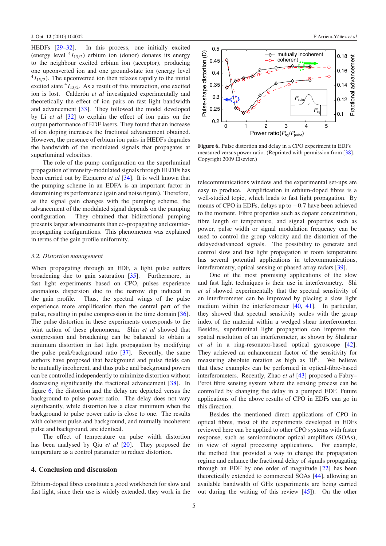HEDFs [\[29–32\]](#page-6-28). In this process, one initially excited (energy level  ${}^{4}I_{13/2}$ ) erbium ion (donor) donates its energy to the neighbour excited erbium ion (acceptor), producing one upconverted ion and one ground-state ion (energy level  $^{4}I_{15/2}$ ). The upconverted ion then relaxes rapidly to the initial excited state  ${}^{4}I_{13/2}$ . As a result of this interaction, one excited ion is lost. Calderón *et al* investigated experimentally and theoretically the effect of ion pairs on fast light bandwidth and advancement [\[33\]](#page-6-29). They followed the model developed by Li *et al* [\[32\]](#page-6-30) to explain the effect of ion pairs on the output performance of EDF lasers. They found that an increase of ion doping increases the fractional advancement obtained. However, the presence of erbium ion pairs in HEDFs degrades the bandwidth of the modulated signals that propagates at superluminal velocities.

The role of the pump configuration on the superluminal propagation of intensity-modulated signals through HEDFs has been carried out by Ezquerro *et al* [\[34\]](#page-6-31). It is well known that the pumping scheme in an EDFA is an important factor in determining its performance (gain and noise figure). Therefore, as the signal gain changes with the pumping scheme, the advancement of the modulated signal depends on the pumping configuration. They obtained that bidirectional pumping presents larger advancements than co-propagating and counterpropagating configurations. This phenomenon was explained in terms of the gain profile uniformity.

#### *3.2. Distortion management*

When propagating through an EDF, a light pulse suffers broadening due to gain saturation [\[35\]](#page-6-32). Furthermore, in fast light experiments based on CPO, pulses experience anomalous dispersion due to the narrow dip induced in the gain profile. Thus, the spectral wings of the pulse experience more amplification than the central part of the pulse, resulting in pulse compression in the time domain [\[36\]](#page-6-33). The pulse distortion in these experiments corresponds to the joint action of these phenomena. Shin *et al* showed that compression and broadening can be balanced to obtain a minimum distortion in fast light propagation by modifying the pulse peak/background ratio [\[37\]](#page-6-34). Recently, the same authors have proposed that background and pulse fields can be mutually incoherent, and thus pulse and background powers can be controlled independently to minimize distortion without decreasing significantly the fractional advancement [\[38\]](#page-6-35). In figure [6,](#page-5-0) the distortion and the delay are depicted versus the background to pulse power ratio. The delay does not vary significantly, while distortion has a clear minimum when the background to pulse power ratio is close to one. The results with coherent pulse and background, and mutually incoherent pulse and background, are identical.

The effect of temperature on pulse width distortion has been analysed by Qiu *et al* [\[20\]](#page-6-20). They proposed the temperature as a control parameter to reduce distortion.

#### **4. Conclusion and discussion**

Erbium-doped fibres constitute a good workbench for slow and fast light, since their use is widely extended, they work in the

<span id="page-5-0"></span>

**Figure 6.** Pulse distortion and delay in a CPO experiment in EDFs measured versus power ratio. (Reprinted with permission from [\[38\]](#page-6-35). Copyright 2009 Elsevier.)

telecommunications window and the experimental set-ups are easy to produce. Amplification in erbium-doped fibres is a well-studied topic, which leads to fast light propagation. By means of CPO in EDFs, delays up to −0.7 have been achieved to the moment. Fibre properties such as dopant concentration, fibre length or temperature, and signal properties such as power, pulse width or signal modulation frequency can be used to control the group velocity and the distortion of the delayed/advanced signals. The possibility to generate and control slow and fast light propagation at room temperature has several potential applications in telecommunications, interferometry, optical sensing or phased array radars [\[39\]](#page-6-36).

One of the most promising applications of the slow and fast light techniques is their use in interferometry. Shi *et al* showed experimentally that the spectral sensitivity of an interferometer can be improved by placing a slow light medium within the interferometer [\[40,](#page-6-37) [41\]](#page-6-38). In particular, they showed that spectral sensitivity scales with the group index of the material within a wedged shear interferometer. Besides, superluminal light propagation can improve the spatial resolution of an interferometer, as shown by Shahriar *et al* in a ring-resonator-based optical gyroscope [\[42\]](#page-6-39). They achieved an enhancement factor of the sensitivity for measuring absolute rotation as high as  $10<sup>6</sup>$ . We believe that these examples can be performed in optical-fibre-based interferometers. Recently, Zhao *et al* [\[43\]](#page-6-40) proposed a Fabry– Perot fibre sensing system where the sensing process can be controlled by changing the delay in a pumped EDF. Future applications of the above results of CPO in EDFs can go in this direction.

Besides the mentioned direct applications of CPO in optical fibres, most of the experiments developed in EDFs reviewed here can be applied to other CPO systems with faster response, such as semiconductor optical amplifiers (SOAs), in view of signal processing applications. For example, the method that provided a way to change the propagation regime and enhance the fractional delay of signals propagating through an EDF by one order of magnitude [\[22\]](#page-6-19) has been theoretically extended to commercial SOAs [\[44\]](#page-6-41), allowing an available bandwidth of GHz (experiments are being carried out during the writing of this review [\[45\]](#page-6-42)). On the other